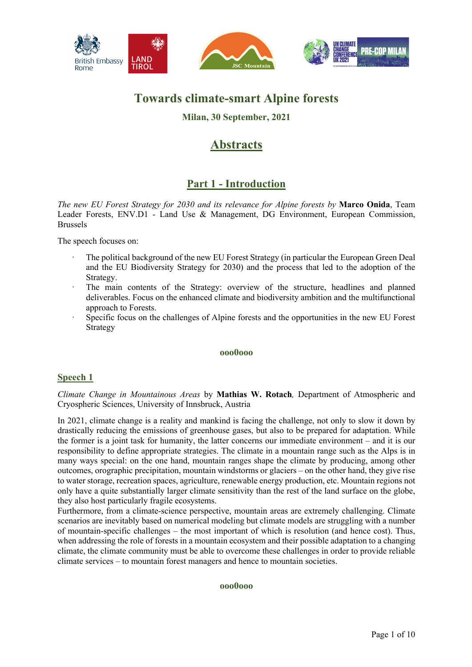

# **Towards climate-smart Alpine forests**

# **Milan, 30 September, 2021**

# **Abstracts**

# **Part 1 - Introduction**

*The new EU Forest Strategy for 2030 and its relevance for Alpine forests by* **Marco Onida**, Team Leader Forests, ENV.D1 - Land Use & Management, DG Environment, European Commission, Brussels

The speech focuses on:

- · The political background of the new EU Forest Strategy (in particular the European Green Deal and the EU Biodiversity Strategy for 2030) and the process that led to the adoption of the Strategy.
- The main contents of the Strategy: overview of the structure, headlines and planned deliverables. Focus on the enhanced climate and biodiversity ambition and the multifunctional approach to Forests.
- Specific focus on the challenges of Alpine forests and the opportunities in the new EU Forest Strategy

## **ooo0ooo**

## **Speech 1**

*Climate Change in Mountainous Areas* by **Mathias W. Rotach***,* Department of Atmospheric and Cryospheric Sciences, University of Innsbruck, Austria

In 2021, climate change is a reality and mankind is facing the challenge, not only to slow it down by drastically reducing the emissions of greenhouse gases, but also to be prepared for adaptation. While the former is a joint task for humanity, the latter concerns our immediate environment – and it is our responsibility to define appropriate strategies. The climate in a mountain range such as the Alps is in many ways special: on the one hand, mountain ranges shape the climate by producing, among other outcomes, orographic precipitation, mountain windstorms or glaciers – on the other hand, they give rise to water storage, recreation spaces, agriculture, renewable energy production, etc. Mountain regions not only have a quite substantially larger climate sensitivity than the rest of the land surface on the globe, they also host particularly fragile ecosystems.

Furthermore, from a climate-science perspective, mountain areas are extremely challenging. Climate scenarios are inevitably based on numerical modeling but climate models are struggling with a number of mountain-specific challenges – the most important of which is resolution (and hence cost). Thus, when addressing the role of forests in a mountain ecosystem and their possible adaptation to a changing climate, the climate community must be able to overcome these challenges in order to provide reliable climate services – to mountain forest managers and hence to mountain societies.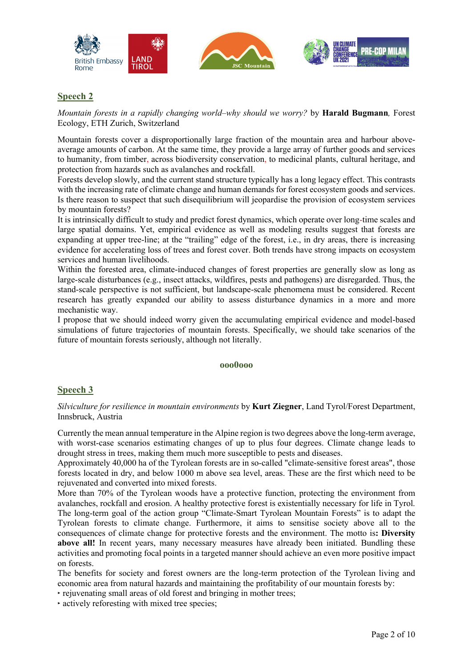





*Mountain forests in a rapidly changing world–why should we worry?* by **Harald Bugmann***,* Forest Ecology, ETH Zurich, Switzerland

Mountain forests cover a disproportionally large fraction of the mountain area and harbour aboveaverage amounts of carbon. At the same time, they provide a large array of further goods and services to humanity, from timber, across biodiversity conservation, to medicinal plants, cultural heritage, and protection from hazards such as avalanches and rockfall.

Forests develop slowly, and the current stand structure typically has a long legacy effect. This contrasts with the increasing rate of climate change and human demands for forest ecosystem goods and services. Is there reason to suspect that such disequilibrium will jeopardise the provision of ecosystem services by mountain forests?

It is intrinsically difficult to study and predict forest dynamics, which operate over long-time scales and large spatial domains. Yet, empirical evidence as well as modeling results suggest that forests are expanding at upper tree-line; at the "trailing" edge of the forest, i.e., in dry areas, there is increasing evidence for accelerating loss of trees and forest cover. Both trends have strong impacts on ecosystem services and human livelihoods.

Within the forested area, climate-induced changes of forest properties are generally slow as long as large-scale disturbances (e.g., insect attacks, wildfires, pests and pathogens) are disregarded. Thus, the stand-scale perspective is not sufficient, but landscape-scale phenomena must be considered. Recent research has greatly expanded our ability to assess disturbance dynamics in a more and more mechanistic way.

I propose that we should indeed worry given the accumulating empirical evidence and model-based simulations of future trajectories of mountain forests. Specifically, we should take scenarios of the future of mountain forests seriously, although not literally.

## **ooo0ooo**

## **Speech 3**

*Silviculture for resilience in mountain environments* by **Kurt Ziegner**, Land Tyrol/Forest Department, Innsbruck, Austria

Currently the mean annual temperature in the Alpine region is two degrees above the long-term average, with worst-case scenarios estimating changes of up to plus four degrees. Climate change leads to drought stress in trees, making them much more susceptible to pests and diseases.

Approximately 40,000 ha of the Tyrolean forests are in so-called "climate-sensitive forest areas", those forests located in dry, and below 1000 m above sea level, areas. These are the first which need to be rejuvenated and converted into mixed forests.

More than 70% of the Tyrolean woods have a protective function, protecting the environment from avalanches, rockfall and erosion. A healthy protective forest is existentially necessary for life in Tyrol. The long-term goal of the action group "Climate-Smart Tyrolean Mountain Forests" is to adapt the Tyrolean forests to climate change. Furthermore, it aims to sensitise society above all to the consequences of climate change for protective forests and the environment. The motto is**: Diversity**  above all! In recent years, many necessary measures have already been initiated. Bundling these activities and promoting focal points in a targeted manner should achieve an even more positive impact on forests.

The benefits for society and forest owners are the long-term protection of the Tyrolean living and economic area from natural hazards and maintaining the profitability of our mountain forests by:

‣ rejuvenating small areas of old forest and bringing in mother trees;

‣ actively reforesting with mixed tree species;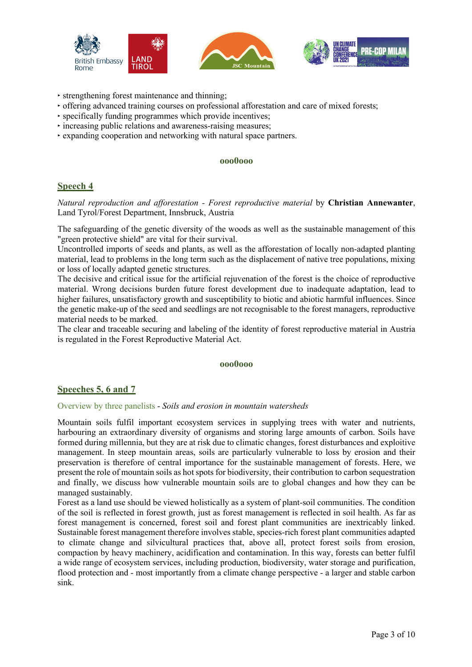





- ‣ strengthening forest maintenance and thinning;
- ‣ offering advanced training courses on professional afforestation and care of mixed forests;
- ‣ specifically funding programmes which provide incentives;
- ‣ increasing public relations and awareness-raising measures;
- ‣ expanding cooperation and networking with natural space partners.

#### **ooo0ooo**

## **Speech 4**

*Natural reproduction and afforestation - Forest reproductive material* by **Christian Annewanter**, Land Tyrol/Forest Department, Innsbruck, Austria

The safeguarding of the genetic diversity of the woods as well as the sustainable management of this "green protective shield" are vital for their survival.

Uncontrolled imports of seeds and plants, as well as the afforestation of locally non-adapted planting material, lead to problems in the long term such as the displacement of native tree populations, mixing or loss of locally adapted genetic structures.

The decisive and critical issue for the artificial rejuvenation of the forest is the choice of reproductive material. Wrong decisions burden future forest development due to inadequate adaptation, lead to higher failures, unsatisfactory growth and susceptibility to biotic and abiotic harmful influences. Since the genetic make-up of the seed and seedlings are not recognisable to the forest managers, reproductive material needs to be marked.

The clear and traceable securing and labeling of the identity of forest reproductive material in Austria is regulated in the Forest Reproductive Material Act.

## **ooo0ooo**

## **Speeches 5, 6 and 7**

## Overview by three panelists - *Soils and erosion in mountain watersheds*

Mountain soils fulfil important ecosystem services in supplying trees with water and nutrients, harbouring an extraordinary diversity of organisms and storing large amounts of carbon. Soils have formed during millennia, but they are at risk due to climatic changes, forest disturbances and exploitive management. In steep mountain areas, soils are particularly vulnerable to loss by erosion and their preservation is therefore of central importance for the sustainable management of forests. Here, we present the role of mountain soils as hot spots for biodiversity, their contribution to carbon sequestration and finally, we discuss how vulnerable mountain soils are to global changes and how they can be managed sustainably.

Forest as a land use should be viewed holistically as a system of plant-soil communities. The condition of the soil is reflected in forest growth, just as forest management is reflected in soil health. As far as forest management is concerned, forest soil and forest plant communities are inextricably linked. Sustainable forest management therefore involves stable, species-rich forest plant communities adapted to climate change and silvicultural practices that, above all, protect forest soils from erosion, compaction by heavy machinery, acidification and contamination. In this way, forests can better fulfil a wide range of ecosystem services, including production, biodiversity, water storage and purification, flood protection and - most importantly from a climate change perspective - a larger and stable carbon sink.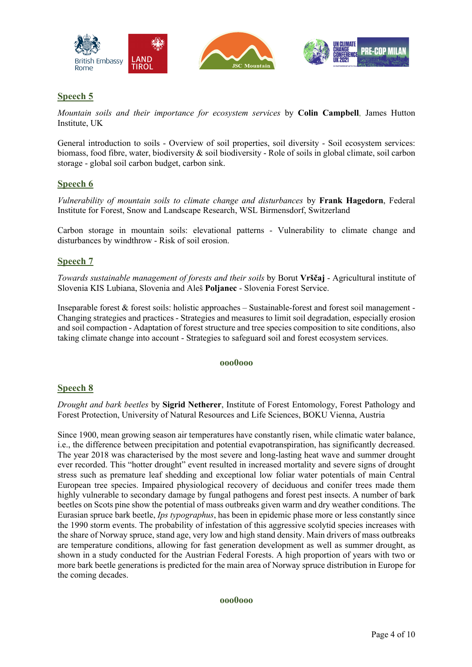

*Mountain soils and their importance for ecosystem services* by **Colin Campbell**, James Hutton Institute, UK

General introduction to soils - Overview of soil properties, soil diversity - Soil ecosystem services: biomass, food fibre, water, biodiversity & soil biodiversity - Role of soils in global climate, soil carbon storage - global soil carbon budget, carbon sink.

## **Speech 6**

*Vulnerability of mountain soils to climate change and disturbances* by **Frank Hagedorn**, Federal Institute for Forest, Snow and Landscape Research, WSL Birmensdorf, Switzerland

Carbon storage in mountain soils: elevational patterns - Vulnerability to climate change and disturbances by windthrow - Risk of soil erosion.

## **Speech 7**

*Towards sustainable management of forests and their soils* by Borut **Vrščaj** - Agricultural institute of Slovenia KIS Lubiana, Slovenia and Aleš **Poljanec** - Slovenia Forest Service.

Inseparable forest & forest soils: holistic approaches – Sustainable-forest and forest soil management - Changing strategies and practices - Strategies and measures to limit soil degradation, especially erosion and soil compaction - Adaptation of forest structure and tree species composition to site conditions, also taking climate change into account - Strategies to safeguard soil and forest ecosystem services.

## **ooo0ooo**

## **Speech 8**

*Drought and bark beetles* by **Sigrid Netherer**, Institute of Forest Entomology, Forest Pathology and Forest Protection, University of Natural Resources and Life Sciences, BOKU Vienna, Austria

Since 1900, mean growing season air temperatures have constantly risen, while climatic water balance, i.e., the difference between precipitation and potential evapotranspiration, has significantly decreased. The year 2018 was characterised by the most severe and long-lasting heat wave and summer drought ever recorded. This "hotter drought" event resulted in increased mortality and severe signs of drought stress such as premature leaf shedding and exceptional low foliar water potentials of main Central European tree species. Impaired physiological recovery of deciduous and conifer trees made them highly vulnerable to secondary damage by fungal pathogens and forest pest insects. A number of bark beetles on Scots pine show the potential of mass outbreaks given warm and dry weather conditions. The Eurasian spruce bark beetle, *Ips typographus*, has been in epidemic phase more or less constantly since the 1990 storm events. The probability of infestation of this aggressive scolytid species increases with the share of Norway spruce, stand age, very low and high stand density. Main drivers of mass outbreaks are temperature conditions, allowing for fast generation development as well as summer drought, as shown in a study conducted for the Austrian Federal Forests. A high proportion of years with two or more bark beetle generations is predicted for the main area of Norway spruce distribution in Europe for the coming decades.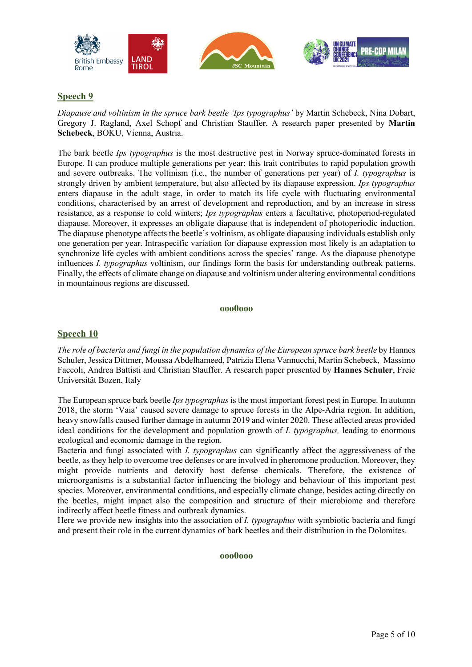





*Diapause and voltinism in the spruce bark beetle 'Ips typographus'* by Martin Schebeck, Nina Dobart, Gregory J. Ragland, Axel Schopf and Christian Stauffer. A research paper presented by **Martin Schebeck**, BOKU, Vienna, Austria.

The bark beetle *Ips typographus* is the most destructive pest in Norway spruce-dominated forests in Europe. It can produce multiple generations per year; this trait contributes to rapid population growth and severe outbreaks. The voltinism (i.e., the number of generations per year) of *I. typographus* is strongly driven by ambient temperature, but also affected by its diapause expression. *Ips typographus*  enters diapause in the adult stage, in order to match its life cycle with fluctuating environmental conditions, characterised by an arrest of development and reproduction, and by an increase in stress resistance, as a response to cold winters; *Ips typographus* enters a facultative, photoperiod-regulated diapause. Moreover, it expresses an obligate diapause that is independent of photoperiodic induction. The diapause phenotype affects the beetle's voltinism, as obligate diapausing individuals establish only one generation per year. Intraspecific variation for diapause expression most likely is an adaptation to synchronize life cycles with ambient conditions across the species' range. As the diapause phenotype influences *I. typographus* voltinism, our findings form the basis for understanding outbreak patterns. Finally, the effects of climate change on diapause and voltinism under altering environmental conditions in mountainous regions are discussed.

## **ooo0ooo**

## **Speech 10**

*The role of bacteria and fungi in the population dynamics of the European spruce bark beetle* by Hannes Schuler, Jessica Dittmer, Moussa Abdelhameed, Patrizia Elena Vannucchi, Martin Schebeck, Massimo Faccoli, Andrea Battisti and Christian Stauffer. A research paper presented by **Hannes Schuler**, Freie Universität Bozen, Italy

The European spruce bark beetle *Ips typographus* is the most important forest pest in Europe. In autumn 2018, the storm 'Vaia' caused severe damage to spruce forests in the Alpe-Adria region. In addition, heavy snowfalls caused further damage in autumn 2019 and winter 2020. These affected areas provided ideal conditions for the development and population growth of *I. typographus,* leading to enormous ecological and economic damage in the region.

Bacteria and fungi associated with *I. typographus* can significantly affect the aggressiveness of the beetle, as they help to overcome tree defenses or are involved in pheromone production. Moreover, they might provide nutrients and detoxify host defense chemicals. Therefore, the existence of microorganisms is a substantial factor influencing the biology and behaviour of this important pest species. Moreover, environmental conditions, and especially climate change, besides acting directly on the beetles, might impact also the composition and structure of their microbiome and therefore indirectly affect beetle fitness and outbreak dynamics.

Here we provide new insights into the association of *I. typographus* with symbiotic bacteria and fungi and present their role in the current dynamics of bark beetles and their distribution in the Dolomites.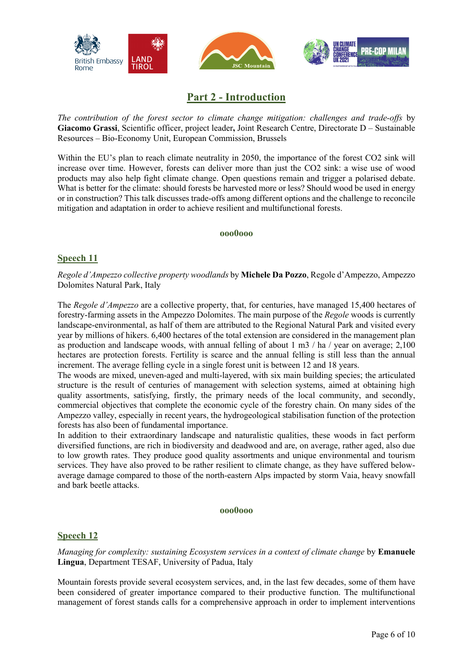

# **Part 2 - Introduction**

*The contribution of the forest sector to climate change mitigation: challenges and trade-offs* by **Giacomo Grassi**, Scientific officer, project leader**,** Joint Research Centre, Directorate D – Sustainable Resources – Bio-Economy Unit, European Commission, Brussels

Within the EU's plan to reach climate neutrality in 2050, the importance of the forest CO2 sink will increase over time. However, forests can deliver more than just the CO2 sink: a wise use of wood products may also help fight climate change. Open questions remain and trigger a polarised debate. What is better for the climate: should forests be harvested more or less? Should wood be used in energy or in construction? This talk discusses trade-offs among different options and the challenge to reconcile mitigation and adaptation in order to achieve resilient and multifunctional forests.

## **ooo0ooo**

## **Speech 11**

*Regole d'Ampezzo collective property woodlands* by **Michele Da Pozzo**, Regole d'Ampezzo, Ampezzo Dolomites Natural Park, Italy

The *Regole d'Ampezzo* are a collective property, that, for centuries, have managed 15,400 hectares of forestry-farming assets in the Ampezzo Dolomites. The main purpose of the *Regole* woods is currently landscape-environmental, as half of them are attributed to the Regional Natural Park and visited every year by millions of hikers. 6,400 hectares of the total extension are considered in the management plan as production and landscape woods, with annual felling of about 1 m3 / ha / year on average; 2,100 hectares are protection forests. Fertility is scarce and the annual felling is still less than the annual increment. The average felling cycle in a single forest unit is between 12 and 18 years.

The woods are mixed, uneven-aged and multi-layered, with six main building species; the articulated structure is the result of centuries of management with selection systems, aimed at obtaining high quality assortments, satisfying, firstly, the primary needs of the local community, and secondly, commercial objectives that complete the economic cycle of the forestry chain. On many sides of the Ampezzo valley, especially in recent years, the hydrogeological stabilisation function of the protection forests has also been of fundamental importance.

In addition to their extraordinary landscape and naturalistic qualities, these woods in fact perform diversified functions, are rich in biodiversity and deadwood and are, on average, rather aged, also due to low growth rates. They produce good quality assortments and unique environmental and tourism services. They have also proved to be rather resilient to climate change, as they have suffered belowaverage damage compared to those of the north-eastern Alps impacted by storm Vaia, heavy snowfall and bark beetle attacks.

## **ooo0ooo**

## **Speech 12**

*Managing for complexity: sustaining Ecosystem services in a context of climate change* by **Emanuele Lingua**, Department TESAF, University of Padua, Italy

Mountain forests provide several ecosystem services, and, in the last few decades, some of them have been considered of greater importance compared to their productive function. The multifunctional management of forest stands calls for a comprehensive approach in order to implement interventions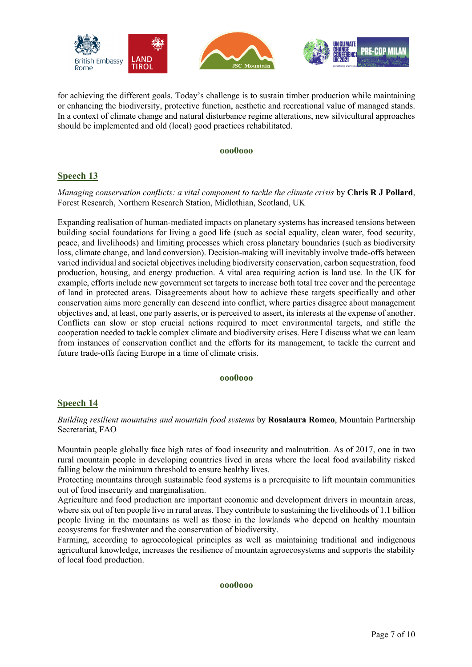

for achieving the different goals. Today's challenge is to sustain timber production while maintaining or enhancing the biodiversity, protective function, aesthetic and recreational value of managed stands. In a context of climate change and natural disturbance regime alterations, new silvicultural approaches should be implemented and old (local) good practices rehabilitated.

#### **ooo0ooo**

## **Speech 13**

*Managing conservation conflicts: a vital component to tackle the climate crisis* by **Chris R J Pollard**, Forest Research, Northern Research Station, Midlothian, Scotland, UK

Expanding realisation of human-mediated impacts on planetary systems has increased tensions between building social foundations for living a good life (such as social equality, clean water, food security, peace, and livelihoods) and limiting processes which cross planetary boundaries (such as biodiversity loss, climate change, and land conversion). Decision-making will inevitably involve trade-offs between varied individual and societal objectives including biodiversity conservation, carbon sequestration, food production, housing, and energy production. A vital area requiring action is land use. In the UK for example, efforts include new government set targets to increase both total tree cover and the percentage of land in protected areas. Disagreements about how to achieve these targets specifically and other conservation aims more generally can descend into conflict, where parties disagree about management objectives and, at least, one party asserts, or is perceived to assert, its interests at the expense of another. Conflicts can slow or stop crucial actions required to meet environmental targets, and stifle the cooperation needed to tackle complex climate and biodiversity crises. Here I discuss what we can learn from instances of conservation conflict and the efforts for its management, to tackle the current and future trade-offs facing Europe in a time of climate crisis.

## **ooo0ooo**

## **Speech 14**

*Building resilient mountains and mountain food systems* by **Rosalaura Romeo**, Mountain Partnership Secretariat, FAO

Mountain people globally face high rates of food insecurity and malnutrition. As of 2017, one in two rural mountain people in developing countries lived in areas where the local food availability risked falling below the minimum threshold to ensure healthy lives.

Protecting mountains through sustainable food systems is a prerequisite to lift mountain communities out of food insecurity and marginalisation.

Agriculture and food production are important economic and development drivers in mountain areas, where six out of ten people live in rural areas. They contribute to sustaining the livelihoods of 1.1 billion people living in the mountains as well as those in the lowlands who depend on healthy mountain ecosystems for freshwater and the conservation of biodiversity.

Farming, according to agroecological principles as well as maintaining traditional and indigenous agricultural knowledge, increases the resilience of mountain agroecosystems and supports the stability of local food production.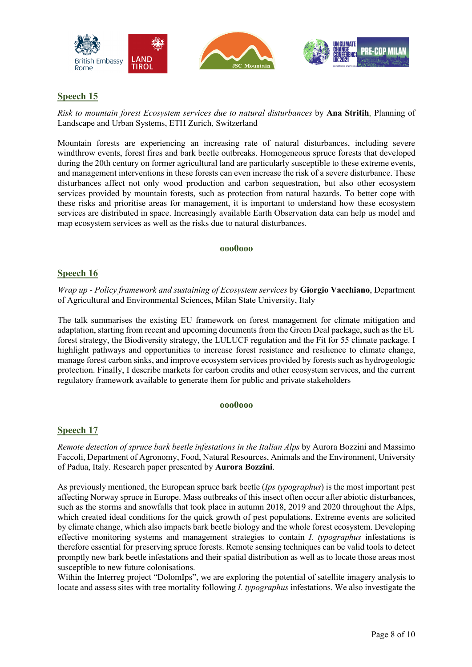

*Risk to mountain forest Ecosystem services due to natural disturbances* by **Ana Stritih**, Planning of Landscape and Urban Systems, ETH Zurich, Switzerland

Mountain forests are experiencing an increasing rate of natural disturbances, including severe windthrow events, forest fires and bark beetle outbreaks. Homogeneous spruce forests that developed during the 20th century on former agricultural land are particularly susceptible to these extreme events, and management interventions in these forests can even increase the risk of a severe disturbance. These disturbances affect not only wood production and carbon sequestration, but also other ecosystem services provided by mountain forests, such as protection from natural hazards. To better cope with these risks and prioritise areas for management, it is important to understand how these ecosystem services are distributed in space. Increasingly available Earth Observation data can help us model and map ecosystem services as well as the risks due to natural disturbances.

#### **ooo0ooo**

## **Speech 16**

*Wrap up - Policy framework and sustaining of Ecosystem services* by **Giorgio Vacchiano**, Department of Agricultural and Environmental Sciences, Milan State University, Italy

The talk summarises the existing EU framework on forest management for climate mitigation and adaptation, starting from recent and upcoming documents from the Green Deal package, such as the EU forest strategy, the Biodiversity strategy, the LULUCF regulation and the Fit for 55 climate package. I highlight pathways and opportunities to increase forest resistance and resilience to climate change, manage forest carbon sinks, and improve ecosystem services provided by forests such as hydrogeologic protection. Finally, I describe markets for carbon credits and other ecosystem services, and the current regulatory framework available to generate them for public and private stakeholders

## **ooo0ooo**

## **Speech 17**

*Remote detection of spruce bark beetle infestations in the Italian Alps* by Aurora Bozzini and Massimo Faccoli, Department of Agronomy, Food, Natural Resources, Animals and the Environment, University of Padua, Italy. Research paper presented by **Aurora Bozzini**.

As previously mentioned, the European spruce bark beetle (*Ips typographus*) is the most important pest affecting Norway spruce in Europe. Mass outbreaks of this insect often occur after abiotic disturbances, such as the storms and snowfalls that took place in autumn 2018, 2019 and 2020 throughout the Alps, which created ideal conditions for the quick growth of pest populations. Extreme events are solicited by climate change, which also impacts bark beetle biology and the whole forest ecosystem. Developing effective monitoring systems and management strategies to contain *I. typographus* infestations is therefore essential for preserving spruce forests. Remote sensing techniques can be valid tools to detect promptly new bark beetle infestations and their spatial distribution as well as to locate those areas most susceptible to new future colonisations.

Within the Interreg project "DolomIps", we are exploring the potential of satellite imagery analysis to locate and assess sites with tree mortality following *I. typographus* infestations. We also investigate the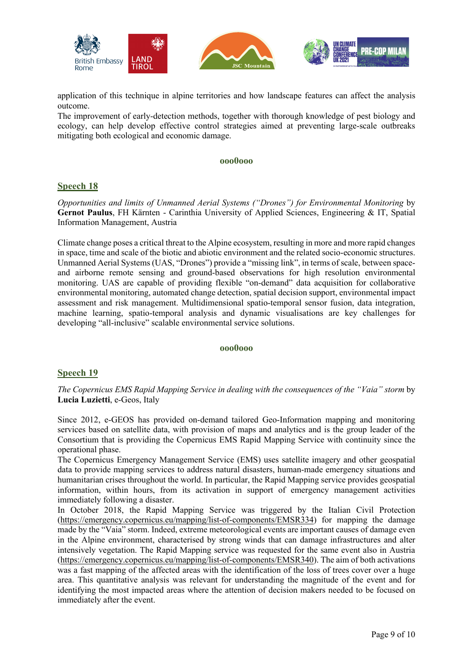

application of this technique in alpine territories and how landscape features can affect the analysis outcome.

The improvement of early-detection methods, together with thorough knowledge of pest biology and ecology, can help develop effective control strategies aimed at preventing large-scale outbreaks mitigating both ecological and economic damage.

## **ooo0ooo**

## **Speech 18**

*Opportunities and limits of Unmanned Aerial Systems ("Drones") for Environmental Monitoring* by **Gernot Paulus**, FH Kärnten - Carinthia University of Applied Sciences, Engineering & IT, Spatial Information Management, Austria

Climate change poses a critical threat to the Alpine ecosystem, resulting in more and more rapid changes in space, time and scale of the biotic and abiotic environment and the related socio-economic structures. Unmanned Aerial Systems (UAS, "Drones") provide a "missing link", in terms of scale, between spaceand airborne remote sensing and ground-based observations for high resolution environmental monitoring. UAS are capable of providing flexible "on-demand" data acquisition for collaborative environmental monitoring, automated change detection, spatial decision support, environmental impact assessment and risk management. Multidimensional spatio-temporal sensor fusion, data integration, machine learning, spatio-temporal analysis and dynamic visualisations are key challenges for developing "all-inclusive" scalable environmental service solutions.

#### **ooo0ooo**

## **Speech 19**

## *The Copernicus EMS Rapid Mapping Service in dealing with the consequences of the "Vaia" storm* by **Lucia Luzietti**, e-Geos, Italy

Since 2012, e-GEOS has provided on-demand tailored Geo-Information mapping and monitoring services based on satellite data, with provision of maps and analytics and is the group leader of the Consortium that is providing the Copernicus EMS Rapid Mapping Service with continuity since the operational phase.

The Copernicus Emergency Management Service (EMS) uses satellite imagery and other geospatial data to provide mapping services to address natural disasters, human-made emergency situations and humanitarian crises throughout the world. In particular, the Rapid Mapping service provides geospatial information, within hours, from its activation in support of emergency management activities immediately following a disaster.

In October 2018, the Rapid Mapping Service was triggered by the Italian Civil Protection (https://emergency.copernicus.eu/mapping/list-of-components/EMSR334) for mapping the damage made by the "Vaia" storm. Indeed, extreme meteorological events are important causes of damage even in the Alpine environment, characterised by strong winds that can damage infrastructures and alter intensively vegetation. The Rapid Mapping service was requested for the same event also in Austria (https://emergency.copernicus.eu/mapping/list-of-components/EMSR340). The aim of both activations was a fast mapping of the affected areas with the identification of the loss of trees cover over a huge area. This quantitative analysis was relevant for understanding the magnitude of the event and for identifying the most impacted areas where the attention of decision makers needed to be focused on immediately after the event.